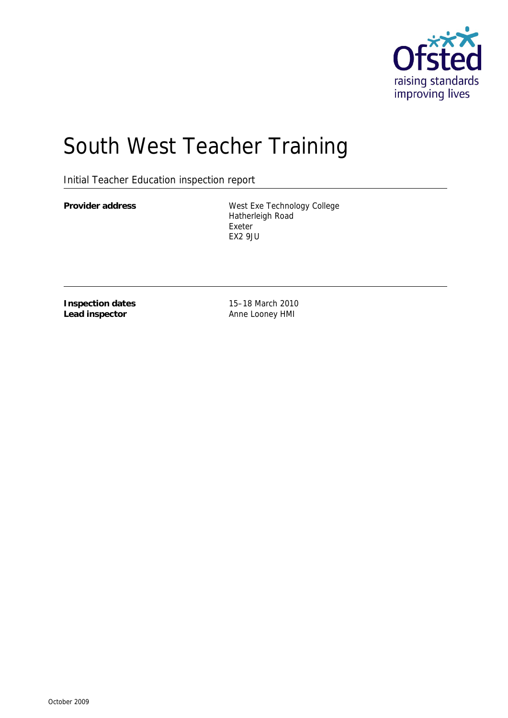

# South West Teacher Training

Initial Teacher Education inspection report

Provider address West Exe Technology College Hatherleigh Road Exeter EX2 9JU

**Inspection dates Lead inspector**

15–18 March 2010 Anne Looney HMI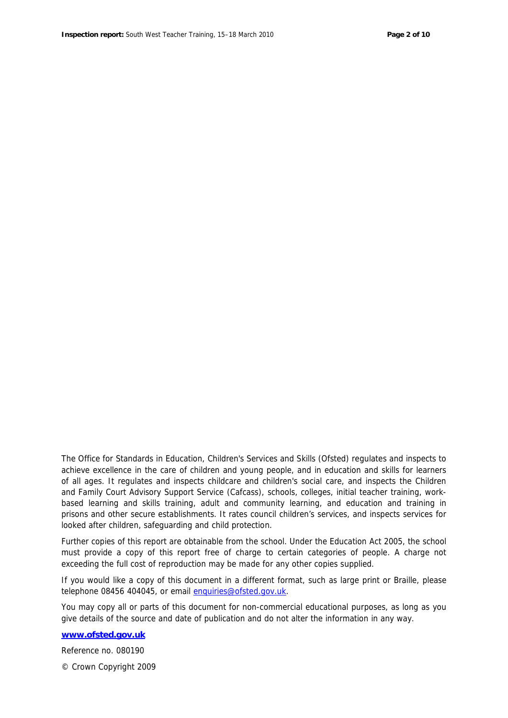The Office for Standards in Education, Children's Services and Skills (Ofsted) regulates and inspects to achieve excellence in the care of children and young people, and in education and skills for learners of all ages. It regulates and inspects childcare and children's social care, and inspects the Children and Family Court Advisory Support Service (Cafcass), schools, colleges, initial teacher training, workbased learning and skills training, adult and community learning, and education and training in prisons and other secure establishments. It rates council children's services, and inspects services for looked after children, safeguarding and child protection.

Further copies of this report are obtainable from the school. Under the Education Act 2005, the school must provide a copy of this report free of charge to certain categories of people. A charge not exceeding the full cost of reproduction may be made for any other copies supplied.

If you would like a copy of this document in a different format, such as large print or Braille, please telephone 08456 404045, or email enquiries@ofsted.gov.uk.

You may copy all or parts of this document for non-commercial educational purposes, as long as you give details of the source and date of publication and do not alter the information in any way.

**www.ofsted.gov.uk**

Reference no. 080190

© Crown Copyright 2009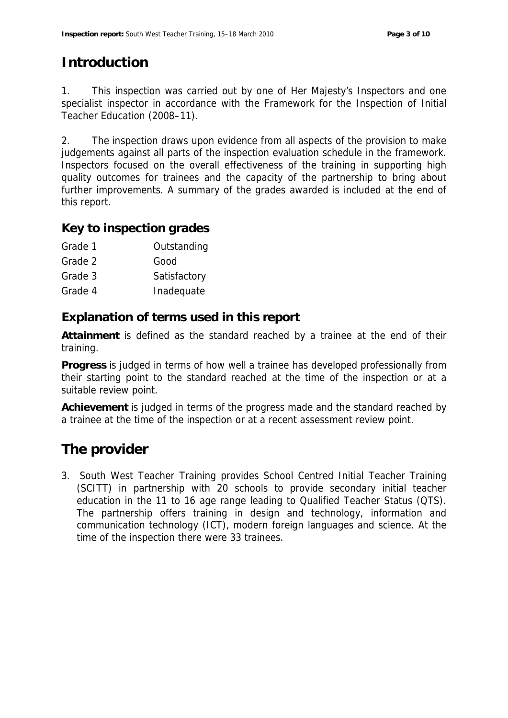# **Introduction**

1. This inspection was carried out by one of Her Majesty's Inspectors and one specialist inspector in accordance with the *Framework for the Inspection of Initial Teacher Education (2008–11)*.

2. The inspection draws upon evidence from all aspects of the provision to make judgements against all parts of the inspection evaluation schedule in the framework. Inspectors focused on the overall effectiveness of the training in supporting high quality outcomes for trainees and the capacity of the partnership to bring about further improvements. A summary of the grades awarded is included at the end of this report.

#### **Key to inspection grades**

- Grade 2 Good
- Grade 3 Satisfactory
- Grade 4 **Inadequate**

**Explanation of terms used in this report**

**Attainment** is defined as the standard reached by a trainee at the end of their training.

**Progress** is judged in terms of how well a trainee has developed professionally from their starting point to the standard reached at the time of the inspection or at a suitable review point.

**Achievement** is judged in terms of the progress made and the standard reached by a trainee at the time of the inspection or at a recent assessment review point.

## **The provider**

3. South West Teacher Training provides School Centred Initial Teacher Training (SCITT) in partnership with 20 schools to provide secondary initial teacher education in the 11 to 16 age range leading to Qualified Teacher Status (QTS). The partnership offers training in design and technology, information and communication technology (ICT), modern foreign languages and science. At the time of the inspection there were 33 trainees.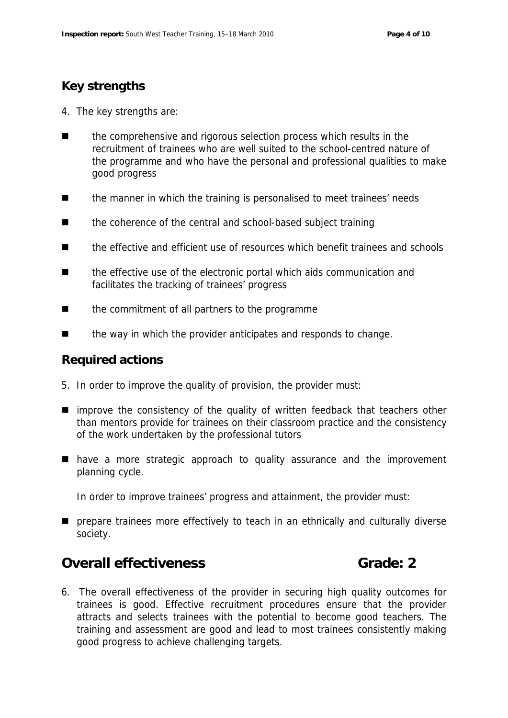### **Key strengths**

- 4. The key strengths are:
- the comprehensive and rigorous selection process which results in the recruitment of trainees who are well suited to the school-centred nature of the programme and who have the personal and professional qualities to make good progress
- the manner in which the training is personalised to meet trainees' needs
- the coherence of the central and school-based subject training
- the effective and efficient use of resources which benefit trainees and schools
- the effective use of the electronic portal which aids communication and facilitates the tracking of trainees' progress
- the commitment of all partners to the programme
- the way in which the provider anticipates and responds to change.

#### **Required actions**

- 5. In order to improve the quality of provision, the provider must:
- **I** improve the consistency of the quality of written feedback that teachers other than mentors provide for trainees on their classroom practice and the consistency of the work undertaken by the professional tutors
- have a more strategic approach to quality assurance and the improvement planning cycle.

In order to improve trainees' progress and attainment, the provider must:

**P** prepare trainees more effectively to teach in an ethnically and culturally diverse society.

### **Overall effectiveness Grade: 2**

6. The overall effectiveness of the provider in securing high quality outcomes for trainees is good. Effective recruitment procedures ensure that the provider attracts and selects trainees with the potential to become good teachers. The training and assessment are good and lead to most trainees consistently making good progress to achieve challenging targets.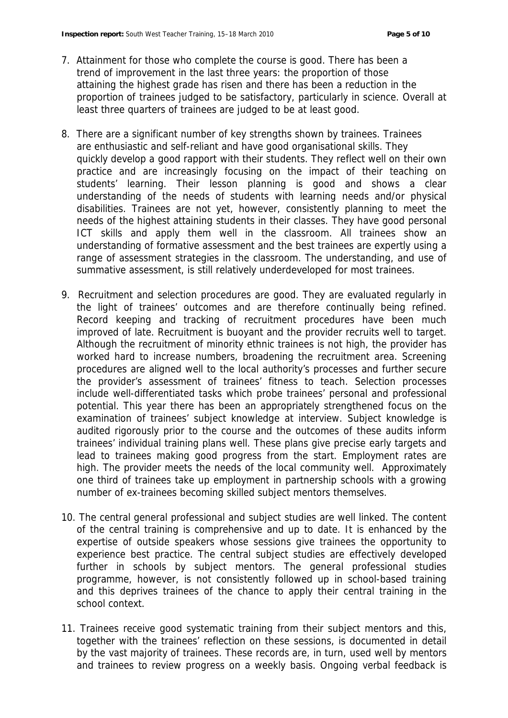- 7. Attainment for those who complete the course is good. There has been a trend of improvement in the last three years: the proportion of those attaining the highest grade has risen and there has been a reduction in the proportion of trainees judged to be satisfactory, particularly in science. Overall at least three quarters of trainees are judged to be at least good.
- 8. There are a significant number of key strengths shown by trainees. Trainees are enthusiastic and self-reliant and have good organisational skills. They quickly develop a good rapport with their students. They reflect well on their own practice and are increasingly focusing on the impact of their teaching on students' learning. Their lesson planning is good and shows a clear understanding of the needs of students with learning needs and/or physical disabilities. Trainees are not yet, however, consistently planning to meet the needs of the highest attaining students in their classes. They have good personal ICT skills and apply them well in the classroom. All trainees show an understanding of formative assessment and the best trainees are expertly using a range of assessment strategies in the classroom. The understanding, and use of summative assessment, is still relatively underdeveloped for most trainees.
- 9. Recruitment and selection procedures are good. They are evaluated regularly in the light of trainees' outcomes and are therefore continually being refined. Record keeping and tracking of recruitment procedures have been much improved of late. Recruitment is buoyant and the provider recruits well to target. Although the recruitment of minority ethnic trainees is not high, the provider has worked hard to increase numbers, broadening the recruitment area. Screening procedures are aligned well to the local authority's processes and further secure the provider's assessment of trainees' fitness to teach. Selection processes include well-differentiated tasks which probe trainees' personal and professional potential. This year there has been an appropriately strengthened focus on the examination of trainees' subject knowledge at interview. Subject knowledge is audited rigorously prior to the course and the outcomes of these audits inform trainees' individual training plans well. These plans give precise early targets and lead to trainees making good progress from the start. Employment rates are high. The provider meets the needs of the local community well. Approximately one third of trainees take up employment in partnership schools with a growing number of ex-trainees becoming skilled subject mentors themselves.
- 10. The central general professional and subject studies are well linked. The content of the central training is comprehensive and up to date. It is enhanced by the expertise of outside speakers whose sessions give trainees the opportunity to experience best practice. The central subject studies are effectively developed further in schools by subject mentors. The general professional studies programme, however, is not consistently followed up in school-based training and this deprives trainees of the chance to apply their central training in the school context.
- 11. Trainees receive good systematic training from their subject mentors and this, together with the trainees' reflection on these sessions, is documented in detail by the vast majority of trainees. These records are, in turn, used well by mentors and trainees to review progress on a weekly basis. Ongoing verbal feedback is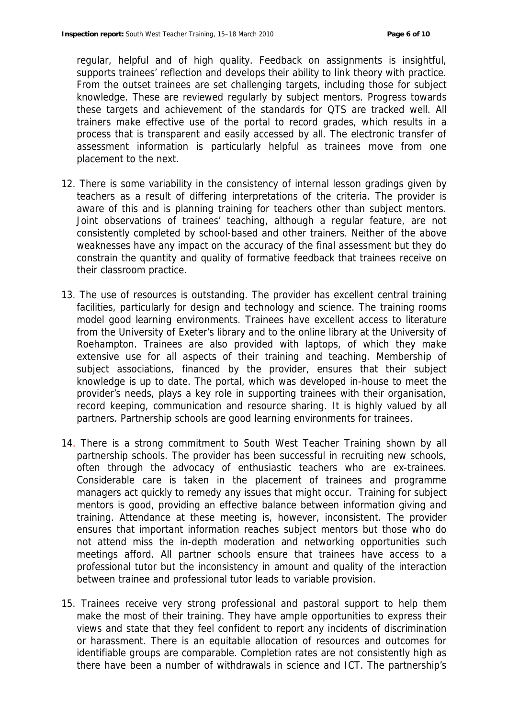regular, helpful and of high quality. Feedback on assignments is insightful, supports trainees' reflection and develops their ability to link theory with practice. From the outset trainees are set challenging targets, including those for subject knowledge. These are reviewed regularly by subject mentors. Progress towards these targets and achievement of the standards for QTS are tracked well. All trainers make effective use of the portal to record grades, which results in a process that is transparent and easily accessed by all. The electronic transfer of assessment information is particularly helpful as trainees move from one placement to the next.

- 12. There is some variability in the consistency of internal lesson gradings given by teachers as a result of differing interpretations of the criteria. The provider is aware of this and is planning training for teachers other than subject mentors. Joint observations of trainees' teaching, although a regular feature, are not consistently completed by school-based and other trainers. Neither of the above weaknesses have any impact on the accuracy of the final assessment but they do constrain the quantity and quality of formative feedback that trainees receive on their classroom practice.
- 13. The use of resources is outstanding. The provider has excellent central training facilities, particularly for design and technology and science. The training rooms model good learning environments. Trainees have excellent access to literature from the University of Exeter's library and to the online library at the University of Roehampton. Trainees are also provided with laptops, of which they make extensive use for all aspects of their training and teaching. Membership of subject associations, financed by the provider, ensures that their subject knowledge is up to date. The portal, which was developed in-house to meet the provider's needs, plays a key role in supporting trainees with their organisation, record keeping, communication and resource sharing. It is highly valued by all partners. Partnership schools are good learning environments for trainees.
- 14. There is a strong commitment to South West Teacher Training shown by all partnership schools. The provider has been successful in recruiting new schools, often through the advocacy of enthusiastic teachers who are ex-trainees. Considerable care is taken in the placement of trainees and programme managers act quickly to remedy any issues that might occur. Training for subject mentors is good, providing an effective balance between information giving and training. Attendance at these meeting is, however, inconsistent. The provider ensures that important information reaches subject mentors but those who do not attend miss the in-depth moderation and networking opportunities such meetings afford. All partner schools ensure that trainees have access to a professional tutor but the inconsistency in amount and quality of the interaction between trainee and professional tutor leads to variable provision.
- 15. Trainees receive very strong professional and pastoral support to help them make the most of their training. They have ample opportunities to express their views and state that they feel confident to report any incidents of discrimination or harassment. There is an equitable allocation of resources and outcomes for identifiable groups are comparable. Completion rates are not consistently high as there have been a number of withdrawals in science and ICT. The partnership's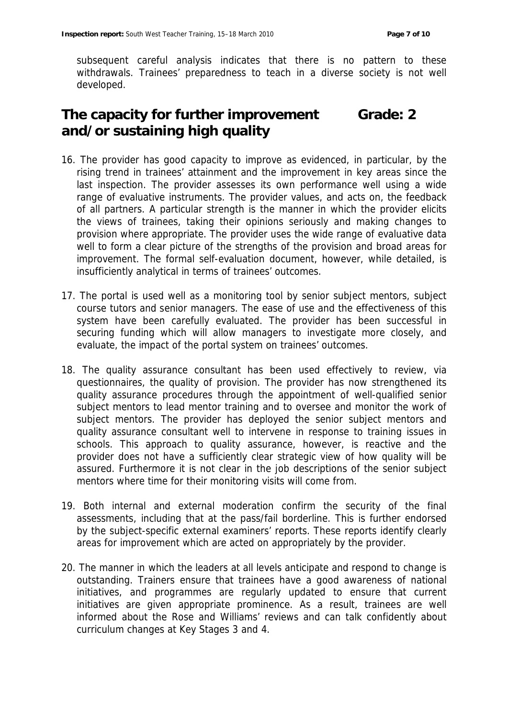subsequent careful analysis indicates that there is no pattern to these withdrawals. Trainees' preparedness to teach in a diverse society is not well developed.

#### **The capacity for further improvement and/or sustaining high quality Grade: 2**

- 16. The provider has good capacity to improve as evidenced, in particular, by the rising trend in trainees' attainment and the improvement in key areas since the last inspection. The provider assesses its own performance well using a wide range of evaluative instruments. The provider values, and acts on, the feedback of all partners. A particular strength is the manner in which the provider elicits the views of trainees, taking their opinions seriously and making changes to provision where appropriate. The provider uses the wide range of evaluative data well to form a clear picture of the strengths of the provision and broad areas for improvement. The formal self-evaluation document, however, while detailed, is insufficiently analytical in terms of trainees' outcomes.
- 17. The portal is used well as a monitoring tool by senior subject mentors, subject course tutors and senior managers. The ease of use and the effectiveness of this system have been carefully evaluated. The provider has been successful in securing funding which will allow managers to investigate more closely, and evaluate, the impact of the portal system on trainees' outcomes.
- 18. The quality assurance consultant has been used effectively to review, via questionnaires, the quality of provision. The provider has now strengthened its quality assurance procedures through the appointment of well-qualified senior subject mentors to lead mentor training and to oversee and monitor the work of subject mentors. The provider has deployed the senior subject mentors and quality assurance consultant well to intervene in response to training issues in schools. This approach to quality assurance, however, is reactive and the provider does not have a sufficiently clear strategic view of how quality will be assured. Furthermore it is not clear in the job descriptions of the senior subject mentors where time for their monitoring visits will come from.
- 19. Both internal and external moderation confirm the security of the final assessments, including that at the pass/fail borderline. This is further endorsed by the subject-specific external examiners' reports. These reports identify clearly areas for improvement which are acted on appropriately by the provider.
- 20. The manner in which the leaders at all levels anticipate and respond to change is outstanding. Trainers ensure that trainees have a good awareness of national initiatives, and programmes are regularly updated to ensure that current initiatives are given appropriate prominence. As a result, trainees are well informed about the Rose and Williams' reviews and can talk confidently about curriculum changes at Key Stages 3 and 4.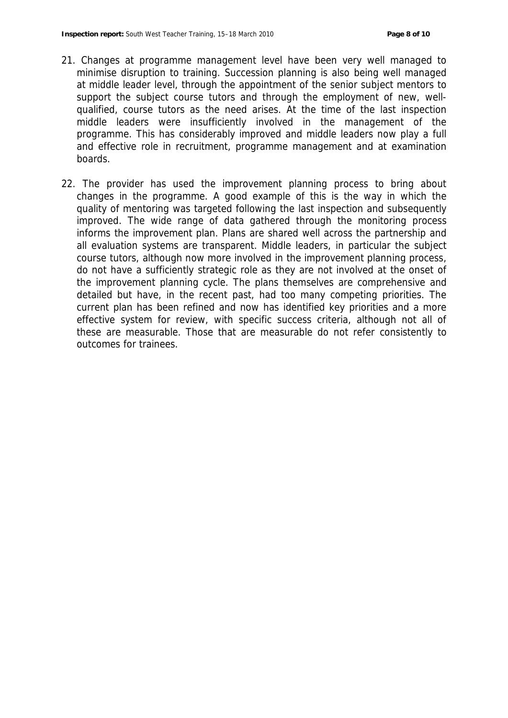- 21. Changes at programme management level have been very well managed to minimise disruption to training. Succession planning is also being well managed at middle leader level, through the appointment of the senior subject mentors to support the subject course tutors and through the employment of new, wellqualified, course tutors as the need arises. At the time of the last inspection middle leaders were insufficiently involved in the management of the programme. This has considerably improved and middle leaders now play a full and effective role in recruitment, programme management and at examination boards.
- 22. The provider has used the improvement planning process to bring about changes in the programme. A good example of this is the way in which the quality of mentoring was targeted following the last inspection and subsequently improved. The wide range of data gathered through the monitoring process informs the improvement plan. Plans are shared well across the partnership and all evaluation systems are transparent. Middle leaders, in particular the subject course tutors, although now more involved in the improvement planning process, do not have a sufficiently strategic role as they are not involved at the onset of the improvement planning cycle. The plans themselves are comprehensive and detailed but have, in the recent past, had too many competing priorities. The current plan has been refined and now has identified key priorities and a more effective system for review, with specific success criteria, although not all of these are measurable. Those that are measurable do not refer consistently to outcomes for trainees.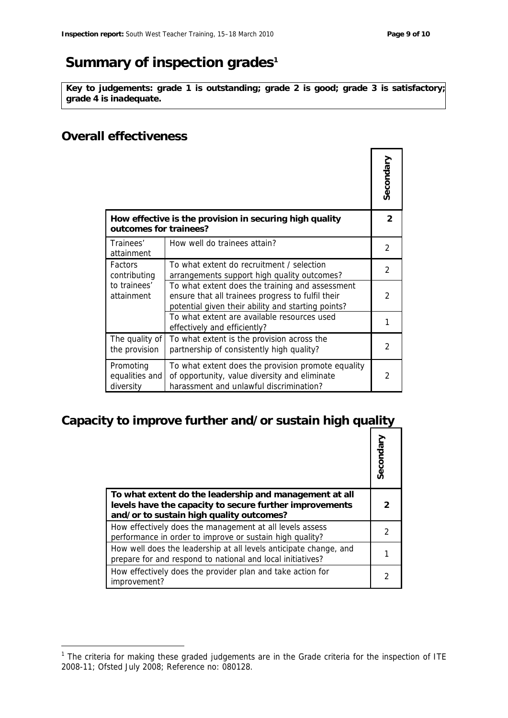# **Summary of inspection grades1**

**Key to judgements: grade 1 is outstanding; grade 2 is good; grade 3 is satisfactory; grade 4 is inadequate.**

#### **Overall effectiveness**

-

|                                                                                   |                                                                                                                                                            | Secondary      |
|-----------------------------------------------------------------------------------|------------------------------------------------------------------------------------------------------------------------------------------------------------|----------------|
| How effective is the provision in securing high quality<br>outcomes for trainees? |                                                                                                                                                            | $\mathcal{P}$  |
| Trainees'<br>attainment                                                           | How well do trainees attain?                                                                                                                               | $\mathcal{P}$  |
| <b>Factors</b><br>contributing<br>to trainees'<br>attainment                      | To what extent do recruitment / selection<br>arrangements support high quality outcomes?                                                                   | $\mathfrak{D}$ |
|                                                                                   | To what extent does the training and assessment<br>ensure that all trainees progress to fulfil their<br>potential given their ability and starting points? | $\mathfrak{D}$ |
|                                                                                   | To what extent are available resources used<br>effectively and efficiently?                                                                                |                |
| The quality of<br>the provision                                                   | To what extent is the provision across the<br>partnership of consistently high quality?                                                                    | $\mathcal{P}$  |
| Promoting<br>equalities and<br>diversity                                          | To what extent does the provision promote equality<br>of opportunity, value diversity and eliminate<br>harassment and unlawful discrimination?             | 2              |

# **Capacity to improve further and/or sustain high quality**

|                                                                                                                                                               | Secondary |
|---------------------------------------------------------------------------------------------------------------------------------------------------------------|-----------|
| To what extent do the leadership and management at all<br>levels have the capacity to secure further improvements<br>and/or to sustain high quality outcomes? |           |
| How effectively does the management at all levels assess<br>performance in order to improve or sustain high quality?                                          |           |
| How well does the leadership at all levels anticipate change, and<br>prepare for and respond to national and local initiatives?                               |           |
| How effectively does the provider plan and take action for<br>improvement?                                                                                    |           |

<sup>1</sup> The criteria for making these graded judgements are in the *Grade criteria for the inspection of ITE 2008-11*; Ofsted July 2008; Reference no: 080128.